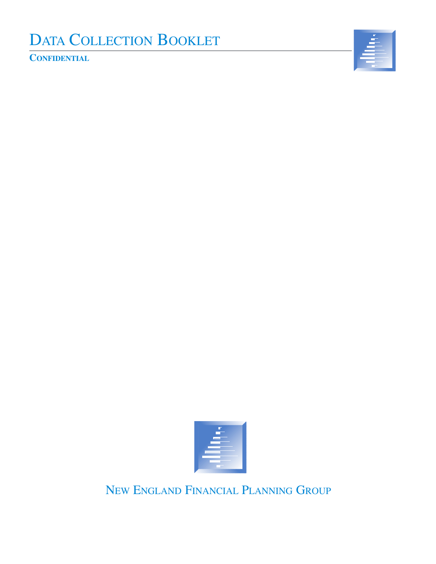# DATA COLLECTION BOOKLET

**CONFIDENTIAL**





NEW ENGLAND FINANCIAL PLANNING GROUP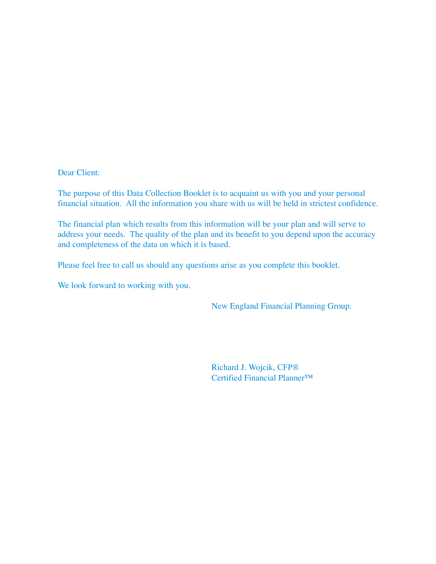Dear Client:

The purpose of this Data Collection Booklet is to acquaint us with you and your personal financial situation. All the information you share with us will be held in strictest confidence.

The financial plan which results from this information will be your plan and will serve to address your needs. The quality of the plan and its benefit to you depend upon the accuracy and completeness of the data on which it is based.

Please feel free to call us should any questions arise as you complete this booklet.

We look forward to working with you.

New England Financial Planning Group.

Richard J. Wojcik, CFP® Certified Financial Planner™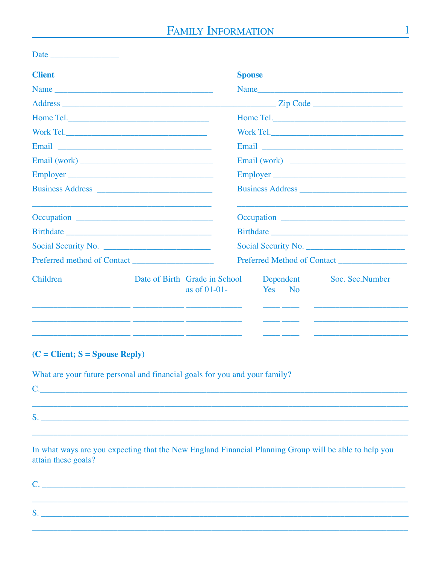| <b>Client</b>                                                                                                           |                                               | <b>Spouse</b> |                                                |    |                             |
|-------------------------------------------------------------------------------------------------------------------------|-----------------------------------------------|---------------|------------------------------------------------|----|-----------------------------|
|                                                                                                                         |                                               |               |                                                |    | Name                        |
|                                                                                                                         |                                               |               |                                                |    | $\mathbb{Z}$ ip Code        |
|                                                                                                                         |                                               |               |                                                |    |                             |
|                                                                                                                         |                                               |               |                                                |    |                             |
| Email <u>__________________________________</u>                                                                         |                                               |               |                                                |    |                             |
|                                                                                                                         |                                               |               |                                                |    |                             |
| Employer                                                                                                                |                                               |               |                                                |    | Employer                    |
|                                                                                                                         |                                               |               |                                                |    |                             |
|                                                                                                                         |                                               |               |                                                |    |                             |
|                                                                                                                         |                                               |               |                                                |    |                             |
|                                                                                                                         |                                               |               |                                                |    | Social Security No.         |
| Preferred method of Contact                                                                                             |                                               |               |                                                |    | Preferred Method of Contact |
| Children                                                                                                                | Date of Birth Grade in School<br>as of 01-01- |               | Dependent<br>Yes<br><u> 1999 - Jan Barnett</u> | No | Soc. Sec. Number            |
| <u> 1990 - Jan James James, filozof de la provincia en la provincia en la provincia en la provincia en la provincia</u> |                                               |               |                                                |    |                             |

## $(C = Client; S = Spouse Reply)$

What are your future personal and financial goals for you and your family?

 $S.$   $\overline{\phantom{a}}$ 

In what ways are you expecting that the New England Financial Planning Group will be able to help you attain these goals?

C. The contract of the contract of the contract of the contract of the contract of the contract of the contract of the contract of the contract of the contract of the contract of the contract of the contract of the contrac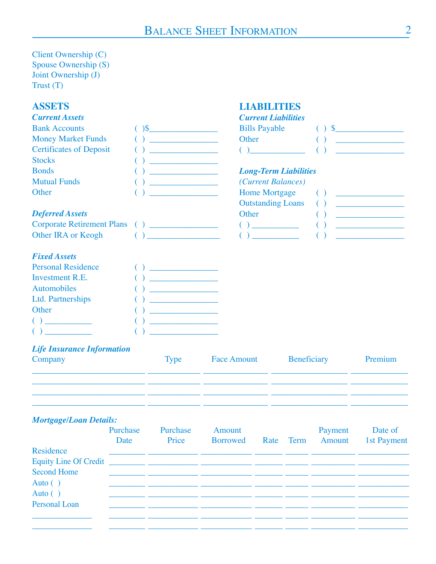## **BALANCE SHEET INFORMATION**

**LIABILITIES** 

### Client Ownership (C) Spouse Ownership (S) Joint Ownership (J)  $Trust(T)$

## **ASSETS**

| <b>Current Assets</b>                         |                                                 | <b>Current Liabilities</b>                     |                                           |
|-----------------------------------------------|-------------------------------------------------|------------------------------------------------|-------------------------------------------|
| <b>Bank Accounts</b>                          | $\frac{1}{2}$                                   | <b>Bills Payable</b>                           |                                           |
| <b>Money Market Funds</b>                     |                                                 | Other                                          | <u> 1989 - John Harrison, mars et al.</u> |
| <b>Certificates of Deposit</b>                |                                                 |                                                |                                           |
| <b>Stocks</b>                                 |                                                 |                                                |                                           |
| <b>Bonds</b>                                  |                                                 | <b>Long-Term Liabilities</b>                   |                                           |
| <b>Mutual Funds</b>                           |                                                 | (Current Balances)                             |                                           |
| Other                                         |                                                 | <b>Home Mortgage</b>                           | (                                         |
|                                               |                                                 | <b>Outstanding Loans</b>                       | (                                         |
| <b>Deferred Assets</b>                        |                                                 | Other                                          |                                           |
| Corporate Retirement Plans () _______________ |                                                 |                                                |                                           |
| Other IRA or Keogh                            | $\begin{pmatrix} 1 & 1 \\ 1 & 1 \end{pmatrix}$  | $\begin{pmatrix} 1 & 1 \\ 1 & 1 \end{pmatrix}$ |                                           |
|                                               |                                                 |                                                |                                           |
| <b>Fixed Assets</b>                           |                                                 |                                                |                                           |
| <b>Personal Residence</b>                     | <u> 1990 - Johann Barnett, fransk politiker</u> |                                                |                                           |
| <b>Investment R.E.</b>                        |                                                 |                                                |                                           |
| <b>Automobiles</b>                            |                                                 |                                                |                                           |
| <b>Ltd. Partnerships</b>                      |                                                 |                                                |                                           |
| Other                                         |                                                 |                                                |                                           |
|                                               |                                                 |                                                |                                           |

## **Life Insurance Information**

 $\begin{picture}(20,20)(-20,0) \put(0,0){\line(1,0){10}} \put(15,0){\line(1,0){10}} \put(15,0){\line(1,0){10}} \put(15,0){\line(1,0){10}} \put(15,0){\line(1,0){10}} \put(15,0){\line(1,0){10}} \put(15,0){\line(1,0){10}} \put(15,0){\line(1,0){10}} \put(15,0){\line(1,0){10}} \put(15,0){\line(1,0){10}} \put(15,0){\line(1,0){10}} \put(15,$ 

| Company | Type | <b>Face Amount</b> | Beneficiary | Premium |
|---------|------|--------------------|-------------|---------|
|         |      |                    |             |         |
|         |      |                    |             |         |

 $\left( \begin{array}{c} \end{array} \right)$ 

#### **Mortgage/Loan Details:** Purchase Purchase Amount Payment Date of Date Price Borrowed Amount Rate Term **1st Payment** Residence <u> 1999 - Johann John Harry Harry Harry Harry Harry Harry Harry Harry Harry Harry Harry Harry Harry Harry Harry</u> **Equity Line Of Credit Second Home**  $\perp$   $\perp$ Auto  $( )$ Auto  $( )$ **Personal Loan**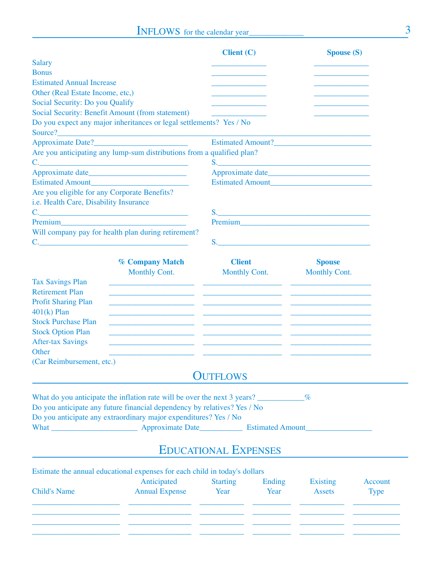|                                              |                                                                                                                       | <b>Client (C)</b>           |                      | <b>Spouse (S)</b>                                                                                                                                                                                                              |                |
|----------------------------------------------|-----------------------------------------------------------------------------------------------------------------------|-----------------------------|----------------------|--------------------------------------------------------------------------------------------------------------------------------------------------------------------------------------------------------------------------------|----------------|
| <b>Salary</b>                                |                                                                                                                       |                             |                      |                                                                                                                                                                                                                                |                |
| <b>Bonus</b>                                 |                                                                                                                       |                             |                      |                                                                                                                                                                                                                                |                |
| <b>Estimated Annual Increase</b>             |                                                                                                                       |                             |                      |                                                                                                                                                                                                                                |                |
| Other (Real Estate Income, etc,)             |                                                                                                                       |                             |                      |                                                                                                                                                                                                                                |                |
| Social Security: Do you Qualify              |                                                                                                                       |                             |                      |                                                                                                                                                                                                                                |                |
|                                              | Social Security: Benefit Amount (from statement)                                                                      |                             |                      |                                                                                                                                                                                                                                |                |
|                                              | Do you expect any major inheritances or legal settlements? Yes / No                                                   |                             |                      |                                                                                                                                                                                                                                |                |
|                                              | Approximate Date?                                                                                                     |                             |                      |                                                                                                                                                                                                                                |                |
|                                              | Are you anticipating any lump-sum distributions from a qualified plan?                                                |                             |                      |                                                                                                                                                                                                                                |                |
|                                              | C.                                                                                                                    |                             |                      |                                                                                                                                                                                                                                |                |
|                                              |                                                                                                                       |                             |                      |                                                                                                                                                                                                                                |                |
|                                              | Estimated Amount                                                                                                      |                             |                      |                                                                                                                                                                                                                                |                |
| Are you eligible for any Corporate Benefits? |                                                                                                                       |                             |                      |                                                                                                                                                                                                                                |                |
| i.e. Health Care, Disability Insurance       |                                                                                                                       |                             |                      |                                                                                                                                                                                                                                |                |
|                                              |                                                                                                                       |                             |                      |                                                                                                                                                                                                                                |                |
|                                              |                                                                                                                       |                             |                      | Premium and the contract of the contract of the contract of the contract of the contract of the contract of the contract of the contract of the contract of the contract of the contract of the contract of the contract of th |                |
|                                              | Will company pay for health plan during retirement?                                                                   |                             |                      |                                                                                                                                                                                                                                |                |
|                                              |                                                                                                                       |                             |                      | $S$ .                                                                                                                                                                                                                          |                |
|                                              |                                                                                                                       |                             |                      |                                                                                                                                                                                                                                |                |
|                                              | <b>% Company Match</b>                                                                                                | <b>Client</b>               |                      | <b>Spouse</b>                                                                                                                                                                                                                  |                |
|                                              | <b>Monthly Cont.</b>                                                                                                  |                             | <b>Monthly Cont.</b> | <b>Monthly Cont.</b>                                                                                                                                                                                                           |                |
| <b>Tax Savings Plan</b>                      | <u> 1990 - Jan James James (h. 1980).</u> De James James (h. 1908). Ingelski fizikar (h. 1908).                       |                             |                      |                                                                                                                                                                                                                                |                |
| <b>Retirement Plan</b>                       |                                                                                                                       |                             |                      |                                                                                                                                                                                                                                |                |
| <b>Profit Sharing Plan</b>                   | <u> 1989 - Andrea Santa Alemania, amerikana amerikana amerikana amerikana amerikana amerikana amerikana amerikana</u> |                             |                      |                                                                                                                                                                                                                                |                |
| $401(k)$ Plan                                |                                                                                                                       |                             |                      |                                                                                                                                                                                                                                |                |
| <b>Stock Purchase Plan</b>                   | <u> 1989 - Johann John Stein, fransk politiker (d. 1989)</u>                                                          |                             |                      |                                                                                                                                                                                                                                |                |
| <b>Stock Option Plan</b>                     | <u> 1989 - Johann Harry Barn, mars and deutscher Schwarzen und der Schwarzen und der Schwarzen und der Schwarzen</u>  |                             |                      |                                                                                                                                                                                                                                |                |
| <b>After-tax Savings</b>                     |                                                                                                                       |                             |                      |                                                                                                                                                                                                                                |                |
| Other                                        |                                                                                                                       |                             |                      |                                                                                                                                                                                                                                |                |
| (Car Reimbursement, etc.)                    |                                                                                                                       |                             |                      |                                                                                                                                                                                                                                |                |
|                                              |                                                                                                                       | <b>OUTFLOWS</b>             |                      |                                                                                                                                                                                                                                |                |
|                                              | What do you anticipate the inflation rate will be over the next 3 years?                                              |                             |                      | $\%$                                                                                                                                                                                                                           |                |
|                                              | Do you anticipate any future financial dependency by relatives? Yes / No                                              |                             |                      |                                                                                                                                                                                                                                |                |
|                                              | Do you anticipate any extraordinary major expenditures? Yes / No                                                      |                             |                      |                                                                                                                                                                                                                                |                |
|                                              |                                                                                                                       |                             |                      |                                                                                                                                                                                                                                |                |
|                                              |                                                                                                                       |                             |                      |                                                                                                                                                                                                                                |                |
|                                              |                                                                                                                       | <b>EDUCATIONAL EXPENSES</b> |                      |                                                                                                                                                                                                                                |                |
|                                              | Estimate the annual educational expenses for each child in today's dollars                                            |                             |                      |                                                                                                                                                                                                                                |                |
|                                              | Anticipated                                                                                                           | <b>Starting</b>             | Ending               | <b>Existing</b>                                                                                                                                                                                                                | <b>Account</b> |
| <b>Child's Name</b>                          | <b>Annual Expense</b>                                                                                                 | Year                        | Year                 | <b>Assets</b>                                                                                                                                                                                                                  | <b>Type</b>    |
|                                              |                                                                                                                       |                             |                      |                                                                                                                                                                                                                                |                |

\_\_\_\_\_\_\_\_\_\_\_\_\_\_\_\_\_\_\_\_\_\_\_\_\_\_\_\_\_\_\_\_\_\_\_\_\_\_\_\_\_\_\_\_\_\_\_\_\_\_\_\_\_\_\_\_\_\_\_\_\_\_\_\_\_\_\_\_\_\_\_\_\_\_\_\_\_\_\_\_\_\_\_\_\_\_\_\_\_\_\_\_\_\_ \_\_\_\_\_\_\_\_\_\_\_\_\_\_\_\_\_\_\_\_\_\_\_\_\_\_\_\_\_\_\_\_\_\_\_\_\_\_\_\_\_\_\_\_\_\_\_\_\_\_\_\_\_\_\_\_\_\_\_\_\_\_\_\_\_\_\_\_\_\_\_\_\_\_\_\_\_\_\_\_\_\_\_\_\_\_\_\_\_\_\_\_\_\_ \_\_\_\_\_\_\_\_\_\_\_\_\_\_\_\_\_\_\_\_\_\_\_\_\_\_\_\_\_\_\_\_\_\_\_\_\_\_\_\_\_\_\_\_\_\_\_\_\_\_\_\_\_\_\_\_\_\_\_\_\_\_\_\_\_\_\_\_\_\_\_\_\_\_\_\_\_\_\_\_\_\_\_\_\_\_\_\_\_\_\_\_\_\_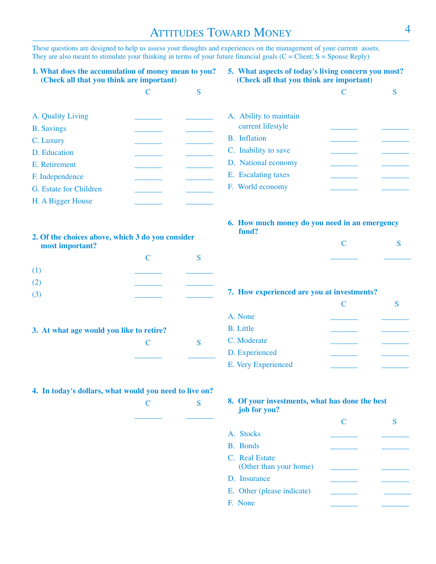## ATTITUDES TOWARD MONEY

These questions are designed to help us assess your thoughts and experiences on the management of your current assets. They are also meant to stimulate your thinking in terms of your future financial goals  $(C = Client; S = Spouse Reply)$ 

#### **1. What does the accumulation of money mean to you? (Check all that you think are important)**

**5. What aspects of today's living concern you most? (Check all that you think are important)**

| A. Quality Living      |  |
|------------------------|--|
| <b>B.</b> Savings      |  |
| C. Luxury              |  |
| D. Education           |  |
| E. Retirement          |  |
| F. Independence        |  |
| G. Estate for Children |  |
| H. A Bigger House      |  |

| A. Ability to maintain<br>current lifestyle |  |
|---------------------------------------------|--|
| B. Inflation                                |  |
| C. Inability to save                        |  |
| D. National economy                         |  |
| E. Escalating taxes                         |  |
| F. World economy                            |  |

#### **6. How much money do you need in an emergency fund?**

| 2. Of the choices above, which 3 do you consider<br>most important? |  |  |  |  |
|---------------------------------------------------------------------|--|--|--|--|
|                                                                     |  |  |  |  |
| (1)                                                                 |  |  |  |  |
| (2)                                                                 |  |  |  |  |
|                                                                     |  |  |  |  |

#### **3. At what age would you like to retire?**

#### **4. In today's dollars, what would you need to live on?**

| $\frac{1}{2}$ $\frac{1}{2}$ $\frac{1}{2}$ $\frac{1}{2}$ $\frac{1}{2}$ $\frac{1}{2}$ $\frac{1}{2}$ $\frac{1}{2}$ |    |
|-----------------------------------------------------------------------------------------------------------------|----|
| $\mathbf{C}$                                                                                                    | S. |
|                                                                                                                 |    |
|                                                                                                                 |    |

C S \_\_\_\_\_\_\_ \_\_\_\_\_\_\_

## **7. How experienced are you at investments?**

| A. None             |  |
|---------------------|--|
| <b>B.</b> Little    |  |
| C. Moderate         |  |
| D. Experienced      |  |
| E. Very Experienced |  |
|                     |  |

#### **8. Of your investments, what has done the best job for you?**

| A. Stocks                                |  |
|------------------------------------------|--|
| B. Bonds                                 |  |
| C. Real Estate<br>(Other than your home) |  |
| D. Insurance                             |  |
| E. Other (please indicate)               |  |
| F. None                                  |  |

C<sub>S</sub>

C S \_\_\_\_\_\_\_ \_\_\_\_\_\_\_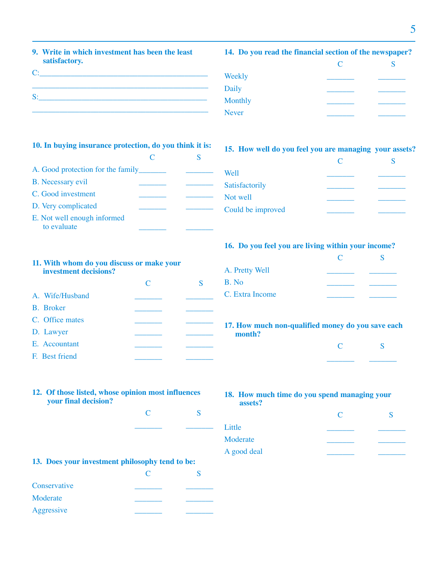**9. Write in which investment has been the least satisfactory.**

| - 2 |  |  |  |
|-----|--|--|--|
|     |  |  |  |

#### **14. Do you read the financial section of the newspaper?**

| $\subset$ |  |
|-----------|--|
|           |  |
|           |  |
|           |  |
|           |  |
|           |  |

#### **10. In buying insurance protection, do you think it is:**

| A. Good protection for the family          |  |
|--------------------------------------------|--|
| <b>B.</b> Necessary evil                   |  |
| C. Good investment                         |  |
| D. Very complicated                        |  |
| E. Not well enough informed<br>to evaluate |  |

### **15. How well do you feel you are managing your assets?**

| <b>Well</b>       |  |
|-------------------|--|
| Satisfactorily    |  |
| Not well          |  |
| Could be improved |  |

#### **16. Do you feel you are living within your income?**

| A. Pretty Well  |  |
|-----------------|--|
| B. No           |  |
| C. Extra Income |  |
|                 |  |

#### **17. How much non-qualified money do you save each month?**

| ______ |  |
|--------|--|

#### **18. How much time do you spend managing your assets?**

|             | C |  |
|-------------|---|--|
| Little      |   |  |
| Moderate    |   |  |
| A good deal |   |  |
|             |   |  |

### **11. With whom do you discuss or make your investment decisions?**

|                  | $\mathsf{\Gamma}$ |  |
|------------------|-------------------|--|
| A. Wife/Husband  |                   |  |
| <b>B.</b> Broker |                   |  |
| C. Office mates  |                   |  |
| D. Lawyer        |                   |  |
| E. Accountant    |                   |  |
| F. Best friend   |                   |  |

#### **12. Of those listed, whose opinion most influences your final decision?**

C S \_\_\_\_\_\_\_ \_\_\_\_\_\_\_

### **13. Does your investment philosophy tend to be:**

| Conservative |  |
|--------------|--|
| Moderate     |  |
| Aggressive   |  |
|              |  |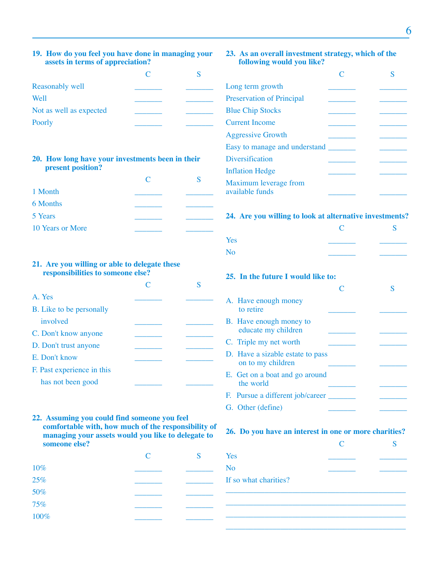#### **19. How do you feel you have done in managing your assets in terms of appreciation?**

| Reasonably well         |  |
|-------------------------|--|
| Well                    |  |
| Not as well as expected |  |
| Poorly                  |  |

#### **20. How long have your investments been in their present position?**

| 1 Month          |  |
|------------------|--|
| 6 Months         |  |
| 5 Years          |  |
| 10 Years or More |  |

#### **21. Are you willing or able to delegate these responsibilities to someone else?**

| A. Yes                     |  |
|----------------------------|--|
| B. Like to be personally   |  |
| involved                   |  |
| C. Don't know anyone       |  |
| D. Don't trust anyone      |  |
| E. Don't know              |  |
| F. Past experience in this |  |
| has not been good          |  |

#### **22. Assuming you could find someone you feel comfortable with, how much of the responsibility of managing your assets would you like to delegate to someone else?**

|      | $\mathsf{C}$ | S |
|------|--------------|---|
| 10%  |              |   |
| 25%  |              |   |
| 50%  |              |   |
| 75%  |              |   |
| 100% |              |   |

#### **23. As an overall investment strategy, which of the following would you like?**

| Long term growth                         |  |  |
|------------------------------------------|--|--|
| <b>Preservation of Principal</b>         |  |  |
| <b>Blue Chip Stocks</b>                  |  |  |
| <b>Current Income</b>                    |  |  |
| <b>Aggressive Growth</b>                 |  |  |
| Easy to manage and understand            |  |  |
| Diversification                          |  |  |
| <b>Inflation Hedge</b>                   |  |  |
| Maximum leverage from<br>available funds |  |  |

#### **24. Are you willing to look at alternative investments?**

|     |                                                       |   | S |
|-----|-------------------------------------------------------|---|---|
| Yes |                                                       |   |   |
| No  |                                                       |   |   |
|     | 25. In the future I would like to:                    |   |   |
|     |                                                       | C | S |
|     | A. Have enough money<br>to retire                     |   |   |
|     | B. Have enough money to<br>educate my children        |   |   |
|     | C. Triple my net worth                                |   |   |
|     | D. Have a sizable estate to pass<br>on to my children |   |   |
|     | E. Get on a boat and go around<br>the world           |   |   |
|     | F. Pursue a different job/career                      |   |   |
|     | G. Other (define)                                     |   |   |

#### **26. Do you have an interest in one or more charities?**

|                       | $\mathcal{C}_{\mathcal{C}}$ |  |
|-----------------------|-----------------------------|--|
| Yes                   |                             |  |
| No                    |                             |  |
| If so what charities? |                             |  |
|                       |                             |  |

–––––––––––––––––––––––––––––––––––––––––––––– –––––––––––––––––––––––––––––––––––––––––––––– ––––––––––––––––––––––––––––––––––––––––––––––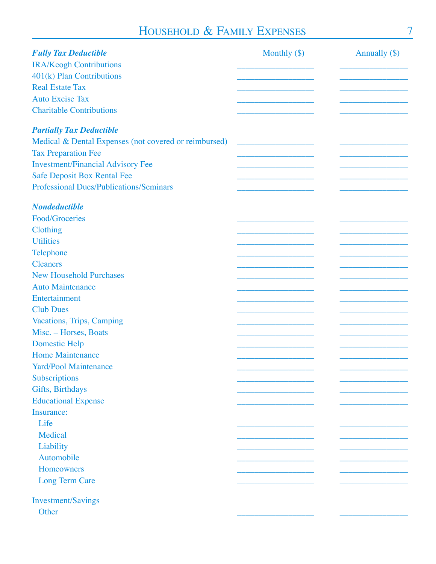## HOUSEHOLD & FAMILY EXPENSES

| <b>Fully Tax Deductible</b>                           | Monthly $(\$)$ | Annually $(\$)$ |
|-------------------------------------------------------|----------------|-----------------|
| <b>IRA/Keogh Contributions</b>                        |                |                 |
| 401(k) Plan Contributions                             |                |                 |
| <b>Real Estate Tax</b>                                |                |                 |
| <b>Auto Excise Tax</b>                                |                |                 |
| <b>Charitable Contributions</b>                       |                |                 |
| <b>Partially Tax Deductible</b>                       |                |                 |
| Medical & Dental Expenses (not covered or reimbursed) |                |                 |
| <b>Tax Preparation Fee</b>                            |                |                 |
| <b>Investment/Financial Advisory Fee</b>              |                |                 |
| <b>Safe Deposit Box Rental Fee</b>                    |                |                 |
| <b>Professional Dues/Publications/Seminars</b>        |                |                 |
|                                                       |                |                 |
| <b>Nondeductible</b>                                  |                |                 |
| <b>Food/Groceries</b>                                 |                |                 |
| Clothing                                              |                |                 |
| <b>Utilities</b>                                      |                |                 |
| Telephone                                             |                |                 |
| <b>Cleaners</b>                                       |                |                 |
| <b>New Household Purchases</b>                        |                |                 |
| <b>Auto Maintenance</b>                               |                |                 |
| Entertainment                                         |                |                 |
| <b>Club Dues</b>                                      |                |                 |
| Vacations, Trips, Camping                             |                |                 |
| Misc. - Horses, Boats                                 |                |                 |
| <b>Domestic Help</b>                                  |                |                 |
| <b>Home Maintenance</b>                               |                |                 |
| <b>Yard/Pool Maintenance</b>                          |                |                 |
| Subscriptions                                         |                |                 |
| Gifts, Birthdays                                      |                |                 |
| <b>Educational Expense</b>                            |                |                 |
| Insurance:                                            |                |                 |
| Life                                                  |                |                 |
| Medical                                               |                |                 |
| Liability                                             |                |                 |
| Automobile                                            |                |                 |
| Homeowners                                            |                |                 |
| <b>Long Term Care</b>                                 |                |                 |
|                                                       |                |                 |
| <b>Investment/Savings</b>                             |                |                 |
| Other                                                 |                |                 |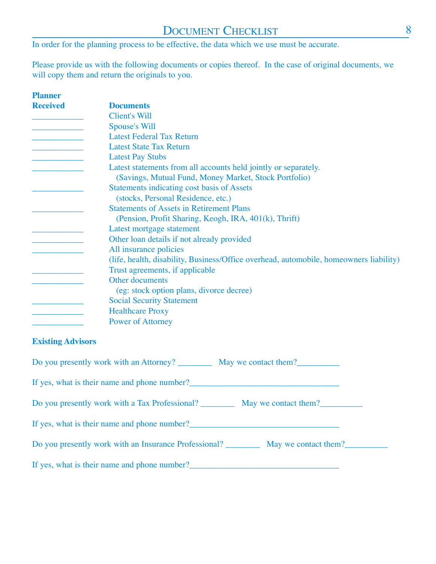In order for the planning process to be effective, the data which we use must be accurate.

Please provide us with the following documents or copies thereof. In the case of original documents, we will copy them and return the originals to you.

| <b>Planner</b>  |                                                                                                                          |
|-----------------|--------------------------------------------------------------------------------------------------------------------------|
| <b>Received</b> | <b>Documents</b>                                                                                                         |
|                 | Client's Will                                                                                                            |
|                 | Spouse's Will                                                                                                            |
|                 | <b>Latest Federal Tax Return</b>                                                                                         |
|                 | <b>Latest State Tax Return</b>                                                                                           |
|                 | <b>Latest Pay Stubs</b>                                                                                                  |
|                 | Latest statements from all accounts held jointly or separately.<br>(Savings, Mutual Fund, Money Market, Stock Portfolio) |
|                 | Statements indicating cost basis of Assets                                                                               |
|                 | (stocks, Personal Residence, etc.)                                                                                       |
|                 | <b>Statements of Assets in Retirement Plans</b>                                                                          |
|                 | (Pension, Profit Sharing, Keogh, IRA, 401(k), Thrift)                                                                    |
|                 | Latest mortgage statement                                                                                                |
|                 | Other loan details if not already provided                                                                               |
|                 | All insurance policies                                                                                                   |
|                 | (life, health, disability, Business/Office overhead, automobile, homeowners liability)                                   |
|                 | Trust agreements, if applicable                                                                                          |
|                 | Other documents                                                                                                          |
|                 | (eg: stock option plans, divorce decree)                                                                                 |
|                 | <b>Social Security Statement</b>                                                                                         |
|                 | <b>Healthcare Proxy</b>                                                                                                  |
|                 | <b>Power of Attorney</b>                                                                                                 |
|                 |                                                                                                                          |

### **Existing Advisors**

| Do you presently work with an Attorney? May we contact them?               |  |
|----------------------------------------------------------------------------|--|
| If yes, what is their name and phone number?                               |  |
| Do you presently work with a Tax Professional? May we contact them?        |  |
| If yes, what is their name and phone number?                               |  |
| Do you presently work with an Insurance Professional? May we contact them? |  |
| If yes, what is their name and phone number?                               |  |